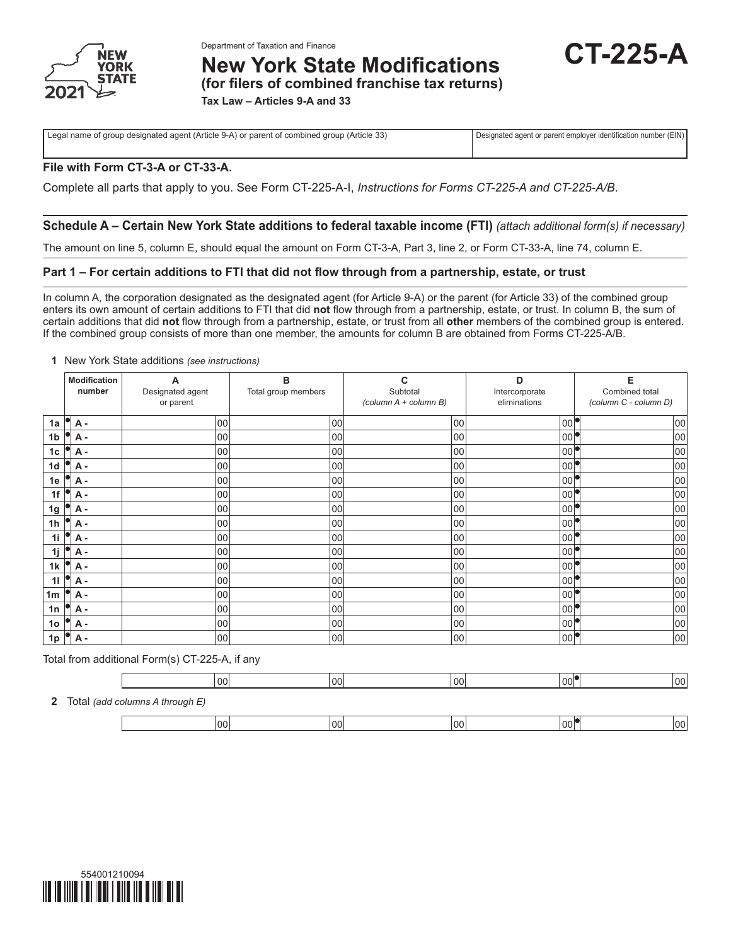

**Department of Taxation and Finance**<br>New York State Modifications **CT-225-A** 

**(for filers of combined franchise tax returns)**

**Tax Law – Articles 9-A and 33**

Legal name of group designated agent (Article 9-A) or parent of combined group (Article 33) Designated agent or parent employer identification number (EIN)

# **File with Form CT-3-A or CT-33-A.**

Complete all parts that apply to you. See Form CT-225-A-I, *Instructions for Forms CT-225-A and CT-225-A/B*.

# **Schedule A – Certain New York State additions to federal taxable income (FTI)** *(attach additional form(s) if necessary)*

The amount on line 5, column E, should equal the amount on Form CT-3-A, Part 3, line 2, or Form CT-33-A, line 74, column E.

# **Part 1 – For certain additions to FTI that did not flow through from a partnership, estate, or trust**

In column A, the corporation designated as the designated agent (for Article 9-A) or the parent (for Article 33) of the combined group enters its own amount of certain additions to FTI that did **not** flow through from a partnership, estate, or trust. In column B, the sum of certain additions that did **not** flow through from a partnership, estate, or trust from all **other** members of the combined group is entered. If the combined group consists of more than one member, the amounts for column B are obtained from Forms CT-225-A/B.

### **1** New York State additions *(see instructions)*

|                | <b>Modification</b><br>number | А<br>Designated agent<br>or parent | B<br>Total group members | C<br>Subtotal<br>(column A + column B) | D<br>Intercorporate<br>eliminations | E<br>Combined total<br>(column C - column D) |
|----------------|-------------------------------|------------------------------------|--------------------------|----------------------------------------|-------------------------------------|----------------------------------------------|
| 1a             | <b>A</b> -                    | 00                                 | 00                       | 00                                     | 00                                  | 00                                           |
| 1b             | <b>A</b> -                    | 00                                 | 00                       | 00                                     | 00 <sub>0</sub>                     | 00                                           |
| 1c             | <b>A</b> -                    | 00                                 | 00                       | 00                                     | 00                                  | 00                                           |
| 1d             | А -                           | 00                                 | 00                       | 00                                     | 00                                  | 00                                           |
| 1e             | <b>A</b> -                    | 00                                 | 00                       | 00                                     | 00 <sup>1</sup>                     | 00                                           |
| 1f             | А -                           | 00                                 | 00                       | 00                                     | 00 <sup>1</sup>                     | 00                                           |
| 1g             | А -                           | 00                                 | 00                       | 00                                     | 00                                  | 00                                           |
| 1 <sub>h</sub> | <b>A</b> -                    | 00                                 | 00                       | 00                                     | 00 <sup>1</sup>                     | 00                                           |
| 1i             | <b>A</b> -                    | 00                                 | 00                       | 00                                     | 00                                  | 00                                           |
| 1j             | А -                           | 00                                 | 00                       | 00                                     | 00                                  | 00                                           |
| 1k             | <b>A</b> -                    | 00                                 | 00                       | 00                                     | 00                                  | 00                                           |
| 11             | <b>A</b> -                    | 00                                 | 00                       | 00                                     | 00                                  | 00                                           |
| 1 <sub>m</sub> | <b>A</b> -                    | 00                                 | 00                       | 00                                     | 00                                  | 00                                           |
| 1n             | <b>A</b> -                    | 00                                 | 00                       | 00                                     | 00                                  | 00                                           |
| 1 <sub>o</sub> | <b>A</b> -                    | 00                                 | 00                       | 00                                     | 00 <sup>1</sup>                     | 00                                           |
| 1p             | <b>A</b> -                    | 00                                 | 00                       | 00                                     | 00                                  | 00                                           |

Total from additional Form(s) CT-225-A, if any

|  |                                   | 00 | 00 | $\sim$<br>vv | $00$ <sup>-</sup> | 00 <sup>1</sup> |
|--|-----------------------------------|----|----|--------------|-------------------|-----------------|
|  | 2 Total (add columns A through E) |    |    |              |                   |                 |

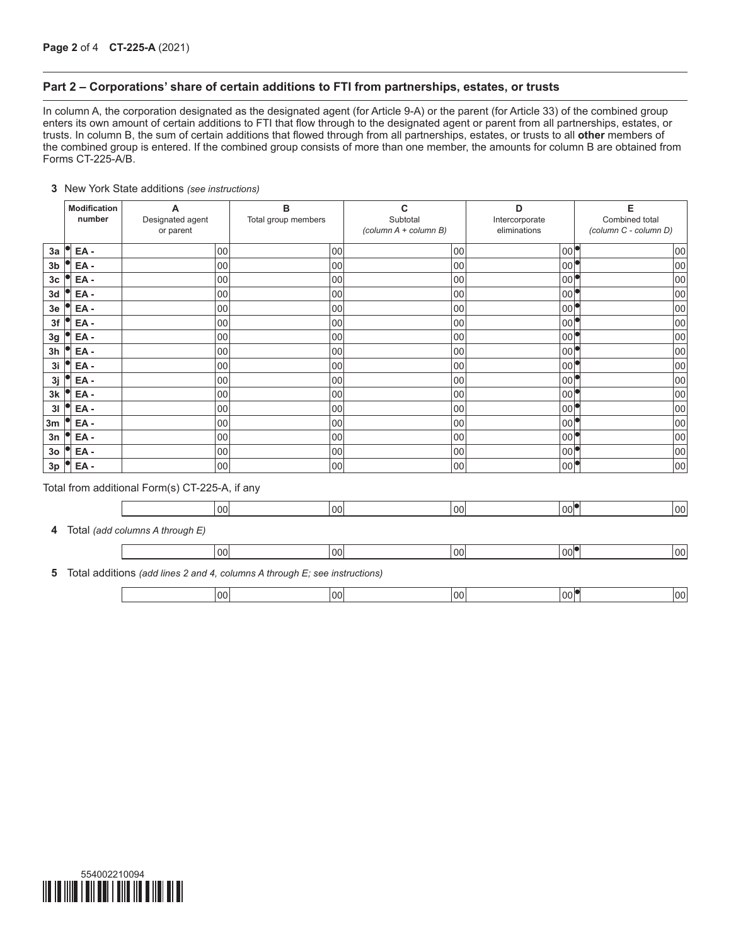## **Part 2 – Corporations' share of certain additions to FTI from partnerships, estates, or trusts**

In column A, the corporation designated as the designated agent (for Article 9-A) or the parent (for Article 33) of the combined group enters its own amount of certain additions to FTI that flow through to the designated agent or parent from all partnerships, estates, or trusts. In column B, the sum of certain additions that flowed through from all partnerships, estates, or trusts to all **other** members of the combined group is entered. If the combined group consists of more than one member, the amounts for column B are obtained from Forms CT-225-A/B.

### **3** New York State additions *(see instructions)*

|                | <b>Modification</b><br>number | A<br>Designated agent<br>or parent             | в<br>Total group members                                                   | C<br>Subtotal<br>(column A + column B) | D<br>Intercorporate<br>eliminations | Е<br>Combined total<br>(column C - column D) |
|----------------|-------------------------------|------------------------------------------------|----------------------------------------------------------------------------|----------------------------------------|-------------------------------------|----------------------------------------------|
| 3a             | $EA -$                        | 00                                             | 00                                                                         | 00                                     | $ 00 ^\bullet$                      | 00                                           |
| 3 <sub>b</sub> | $EA -$                        | 00                                             | 00                                                                         | 00                                     | 00 <sup>6</sup>                     | 00                                           |
| 3 <sub>c</sub> | $EA -$                        | 00                                             | 00                                                                         | 00                                     | 00                                  | 100                                          |
| 3d             | EA-                           | 00                                             | 00                                                                         | 00                                     | 00                                  | 100                                          |
| 3e             | EA-                           | 00                                             | 00                                                                         | 00                                     | 00 <sup>1</sup>                     | 00                                           |
| 3f             | EA-                           | 00                                             | 00                                                                         | 00                                     | 00ľ                                 | 00                                           |
| 3g             | EA-                           | 00                                             | 00                                                                         | 00                                     | 00 <sup>4</sup>                     | 00                                           |
| 3h             | $EA -$                        | 00                                             | 00                                                                         | 00                                     | 00 <sup>1</sup>                     | 00                                           |
| 3i             | $EA -$                        | 00                                             | 00                                                                         | 00                                     | 00 <sup>1</sup>                     | 00                                           |
| 3j             | EA-                           | 00                                             | 00                                                                         | 00                                     | 00 <sup>1</sup>                     | 00                                           |
| 3k             | $EA -$                        | 00                                             | 00                                                                         | 00                                     | 00ľ                                 | 00                                           |
| 31             | EA-                           | 00                                             | 00                                                                         | 00                                     | 00 <sup>1</sup>                     | 00                                           |
| 3m             | EA-                           | 00                                             | 00                                                                         | 00                                     | 00 <sup>1</sup>                     | 00                                           |
| 3n             | EA-                           | 00                                             | 00                                                                         | 00                                     | 00 <sup>4</sup>                     | 00                                           |
| 3 <sub>o</sub> | EA-                           | 00                                             | 00                                                                         | 00                                     | $00^{\circ}$                        | 00                                           |
| 3p             | EA-                           | 00                                             | 00                                                                         | 00                                     | $ 00 ^\bullet$                      | 00                                           |
|                |                               | Total from additional Form(s) CT-225-A, if any |                                                                            |                                        |                                     |                                              |
|                |                               | 00                                             | 00 <sup>1</sup>                                                            | 00                                     | $ 00 ^\bullet$                      | 00                                           |
| 4              |                               | Total (add columns A through E)                |                                                                            |                                        |                                     |                                              |
|                |                               | 00 <sup>1</sup>                                | 00 <sup>1</sup>                                                            | 00                                     | $ 00 ^\bullet$                      | 00                                           |
| 5              |                               |                                                | Total additions (add lines 2 and 4, columns A through E; see instructions) |                                        |                                     |                                              |
|                |                               |                                                |                                                                            |                                        |                                     |                                              |

00 00 00 00 00

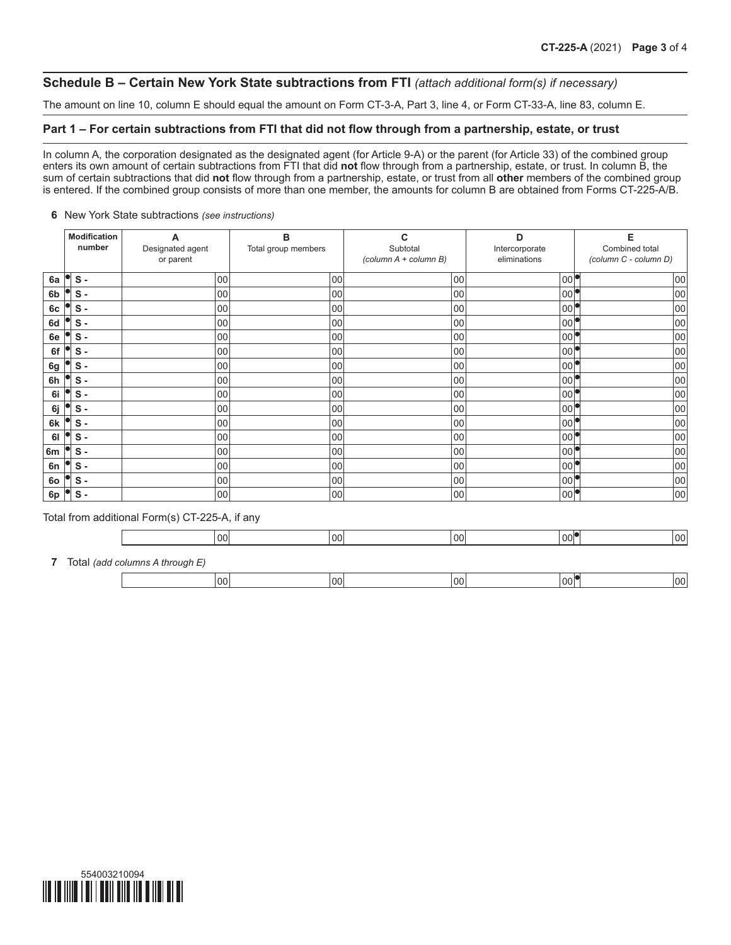# **Schedule B – Certain New York State subtractions from FTI** *(attach additional form(s) if necessary)*

The amount on line 10, column E should equal the amount on Form CT-3-A, Part 3, line 4, or Form CT-33-A, line 83, column E.

# **Part 1 – For certain subtractions from FTI that did not flow through from a partnership, estate, or trust**

In column A, the corporation designated as the designated agent (for Article 9-A) or the parent (for Article 33) of the combined group enters its own amount of certain subtractions from FTI that did **not** flow through from a partnership, estate, or trust. In column B, the sum of certain subtractions that did **not** flow through from a partnership, estate, or trust from all **other** members of the combined group is entered. If the combined group consists of more than one member, the amounts for column B are obtained from Forms CT-225-A/B.

#### **6** New York State subtractions *(see instructions)*

|                | Modification<br>number | А<br>Designated agent<br>or parent | B<br>Total group members | C<br>Subtotal<br>(column A + column B) | D<br>Intercorporate<br>eliminations | Е<br>Combined total<br>(column C - column D) |
|----------------|------------------------|------------------------------------|--------------------------|----------------------------------------|-------------------------------------|----------------------------------------------|
| 6a             | $S -$                  | 00                                 | 00                       | 00                                     | 00                                  | 00                                           |
| 6 <sub>b</sub> | $S -$                  | 00                                 | 00                       | 00                                     | 00                                  | 00                                           |
| 6c             | $S -$                  | 00                                 | 00                       | 00                                     | 00                                  | 00                                           |
| 6d             | $S -$                  | 00                                 | 00                       | 00                                     | 00                                  | 00                                           |
| 6e             | $S -$                  | 00                                 | 00                       | 00                                     | 00                                  | 00                                           |
| 6f             | $S -$                  | 00                                 | 00                       | 00                                     | 00                                  | 00                                           |
| 6g             | $S -$                  | 00                                 | 00                       | 00                                     | 00                                  | 00                                           |
| 6h             | $S -$                  | 00                                 | 00                       | 00                                     | 00                                  | 00                                           |
| 6i             | $S -$                  | 00                                 | 00                       | 00                                     | 00                                  | 00                                           |
| 6j             | $s -$                  | 00                                 | 00                       | 00                                     | 00                                  | 00                                           |
| 6k             | $s -$                  | 00                                 | 00                       | 00                                     | 00                                  | 00                                           |
| 61             | $S -$                  | 00                                 | 00                       | 00                                     | 00                                  | 00                                           |
| 6m             | $S -$                  | 00                                 | 00                       | 00                                     | 00                                  | 00                                           |
| 6n             | $S -$                  | 00                                 | 00                       | 00                                     | 00                                  | 00                                           |
| 60             | $S -$                  | 00                                 | 00                       | 00                                     | 00                                  | 00                                           |
| 6p             | $S -$                  | 00                                 | 00                       | 00                                     | 00                                  | 00                                           |

Total from additional Form(s) CT-225-A, if any

|  | 00 | $\overline{\phantom{0}}$ |  |  |
|--|----|--------------------------|--|--|
|  |    |                          |  |  |

**7** Total *(add columns A through E)*

| $\sim$ $\sim$<br>oc | $\cap$<br>UU | OC. | 00 |
|---------------------|--------------|-----|----|
|                     |              |     |    |